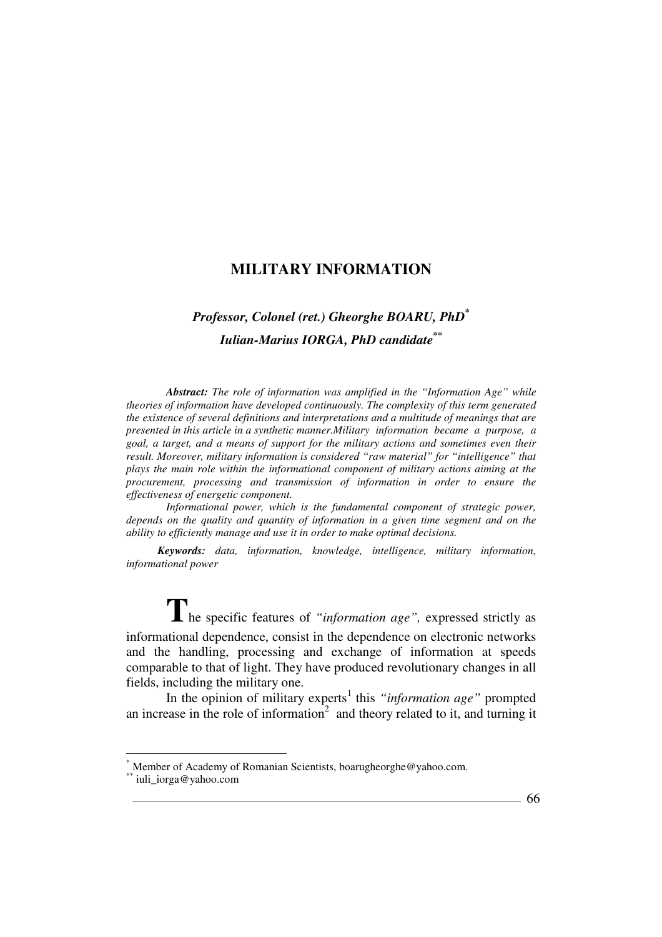# *Professor, Colonel (ret.) Gheorghe BOARU, PhD\* Iulian-Marius IORGA, PhD candidate\*\**

*Abstract: The role of information was amplified in the "Information Age" while theories of information have developed continuously. The complexity of this term generated the existence of several definitions and interpretations and a multitude of meanings that are presented in this article in a synthetic manner.Military information became a purpose, a goal, a target, and a means of support for the military actions and sometimes even their result. Moreover, military information is considered "raw material" for "intelligence" that plays the main role within the informational component of military actions aiming at the procurement, processing and transmission of information in order to ensure the effectiveness of energetic component.* 

*Informational power, which is the fundamental component of strategic power, depends on the quality and quantity of information in a given time segment and on the ability to efficiently manage and use it in order to make optimal decisions.* 

*Keywords: data, information, knowledge, intelligence, military information, informational power* 

**T**he specific features of *"information age",* expressed strictly as informational dependence, consist in the dependence on electronic networks and the handling, processing and exchange of information at speeds comparable to that of light. They have produced revolutionary changes in all fields, including the military one.

In the opinion of military experts<sup>1</sup> this "information age" prompted an increase in the role of information<sup>2</sup> and theory related to it, and turning it

l

<sup>\*</sup> Member of Academy of Romanian Scientists, boarugheorghe@yahoo.com.

iuli iorga@yahoo.com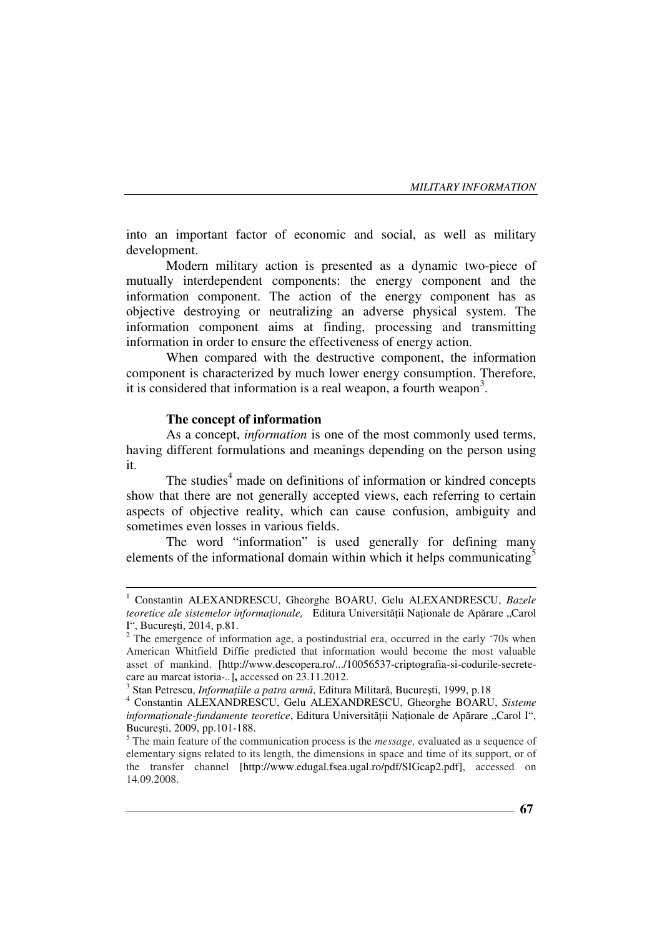into an important factor of economic and social, as well as military development.

Modern military action is presented as a dynamic two-piece of mutually interdependent components: the energy component and the information component. The action of the energy component has as objective destroying or neutralizing an adverse physical system. The information component aims at finding, processing and transmitting information in order to ensure the effectiveness of energy action.

When compared with the destructive component, the information component is characterized by much lower energy consumption. Therefore, it is considered that information is a real weapon, a fourth weapon<sup>3</sup>.

### **The concept of information**

 $\overline{a}$ 

As a concept, *information* is one of the most commonly used terms, having different formulations and meanings depending on the person using it.

The studies<sup>4</sup> made on definitions of information or kindred concepts show that there are not generally accepted views, each referring to certain aspects of objective reality, which can cause confusion, ambiguity and sometimes even losses in various fields.

The word "information" is used generally for defining many elements of the informational domain within which it helps communicating<sup>5</sup>

<sup>&</sup>lt;sup>1</sup> Constantin ALEXANDRESCU, Gheorghe BOARU, Gelu ALEXANDRESCU, Bazele *teoretice ale sistemelor informaționale,* Editura Universității Naționale de Apărare "Carol I", Bucureşti, 2014, p.81.

<sup>&</sup>lt;sup>2</sup> The emergence of information age, a postindustrial era, occurred in the early '70s when American Whitfield Diffie predicted that information would become the most valuable asset of mankind. [http://www.descopera.ro/.../10056537-criptografia-si-codurile-secretecare au marcat istoria*-..*]**,** accessed on 23.11.2012.

<sup>&</sup>lt;sup>3</sup> Stan Petrescu, *Informațiile a patra armă*, Editura Militară, București, 1999, p.18

<sup>4</sup> Constantin ALEXANDRESCU, Gelu ALEXANDRESCU, Gheorghe BOARU, *Sisteme informationale-fundamente teoretice*, Editura Universității Nationale de Apărare "Carol I", Bucureşti, 2009, pp.101-188.

<sup>5</sup> The main feature of the communication process is the *message,* evaluated as a sequence of elementary signs related to its length, the dimensions in space and time of its support, or of the transfer channel [http://www.edugal.fsea.ugal.ro/pdf/SIGcap2.pdf], accessed on 14.09.2008.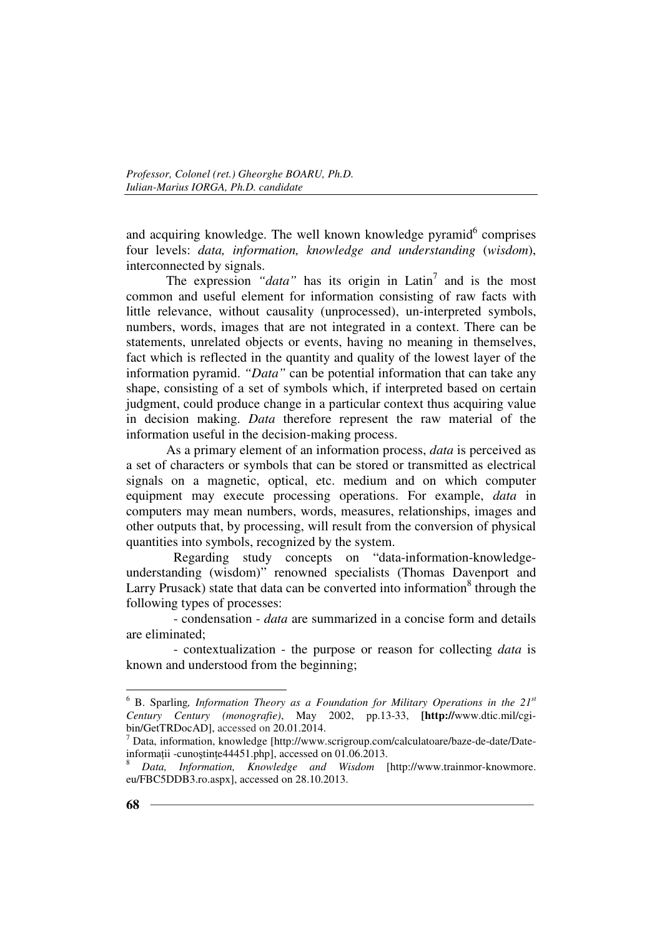and acquiring knowledge. The well known knowledge pyramid<sup>6</sup> comprises four levels: *data, information, knowledge and understanding* (*wisdom*), interconnected by signals.

The expression "data" has its origin in Latin<sup>7</sup> and is the most common and useful element for information consisting of raw facts with little relevance, without causality (unprocessed), un-interpreted symbols, numbers, words, images that are not integrated in a context. There can be statements, unrelated objects or events, having no meaning in themselves, fact which is reflected in the quantity and quality of the lowest layer of the information pyramid. *"Data"* can be potential information that can take any shape, consisting of a set of symbols which, if interpreted based on certain judgment, could produce change in a particular context thus acquiring value in decision making. *Data* therefore represent the raw material of the information useful in the decision-making process.

As a primary element of an information process, *data* is perceived as a set of characters or symbols that can be stored or transmitted as electrical signals on a magnetic, optical, etc. medium and on which computer equipment may execute processing operations. For example, *data* in computers may mean numbers, words, measures, relationships, images and other outputs that, by processing, will result from the conversion of physical quantities into symbols, recognized by the system.

 Regarding study concepts on "data-information-knowledgeunderstanding (wisdom)" renowned specialists (Thomas Davenport and Larry Prusack) state that data can be converted into information $8$  through the following types of processes:

 - condensation - *data* are summarized in a concise form and details are eliminated;

 - contextualization - the purpose or reason for collecting *data* is known and understood from the beginning;

<sup>6</sup> B. Sparling*, Information Theory as a Foundation for Military Operations in the 21st Century Century (monografie)*, May 2002, pp.13-33, **[http://**www.dtic.mil/cgibin/GetTRDocAD], accessed on 20.01.2014.

<sup>7</sup> Data, information, knowledge [http://www.scrigroup.com/calculatoare/baze-de-date/Dateinformații -cunoștințe $44451$ .php], accessed on 01.06.2013.

<sup>8</sup> *Data, Information, Knowledge and Wisdom* [http://www.trainmor-knowmore. eu/FBC5DDB3.ro.aspx], accessed on 28.10.2013.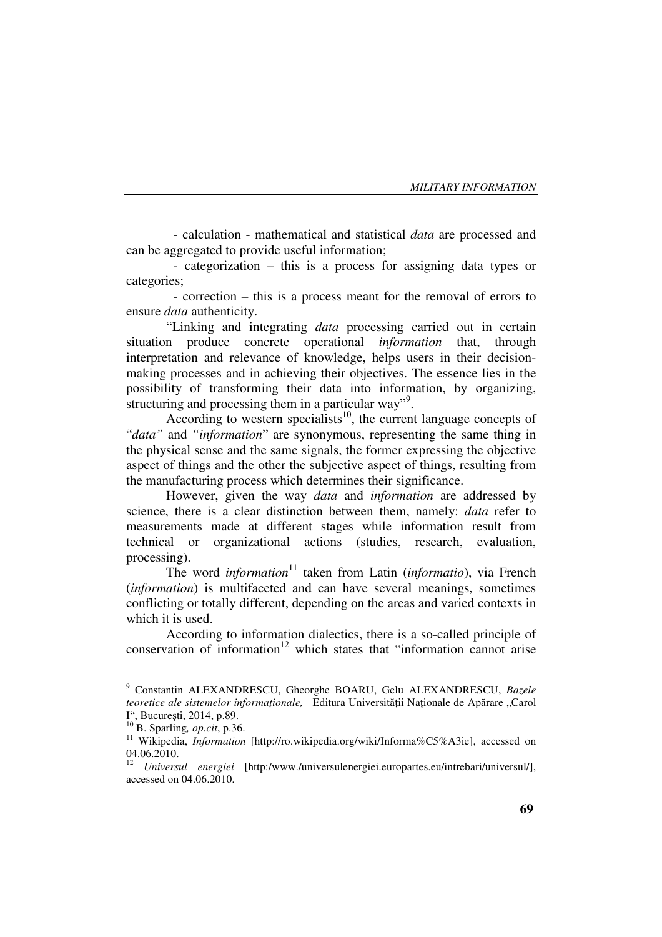- calculation - mathematical and statistical *data* are processed and can be aggregated to provide useful information;

 - categorization – this is a process for assigning data types or categories;

 - correction – this is a process meant for the removal of errors to ensure *data* authenticity.

"Linking and integrating *data* processing carried out in certain situation produce concrete operational *information* that, through interpretation and relevance of knowledge, helps users in their decisionmaking processes and in achieving their objectives. The essence lies in the possibility of transforming their data into information, by organizing, structuring and processing them in a particular way".

According to western specialists<sup>10</sup>, the current language concepts of "*data"* and *"information*" are synonymous, representing the same thing in the physical sense and the same signals, the former expressing the objective aspect of things and the other the subjective aspect of things, resulting from the manufacturing process which determines their significance.

However, given the way *data* and *information* are addressed by science, there is a clear distinction between them, namely: *data* refer to measurements made at different stages while information result from technical or organizational actions (studies, research, evaluation, processing).

The word *information*<sup>11</sup> taken from Latin (*informatio*), via French (*information*) is multifaceted and can have several meanings, sometimes conflicting or totally different, depending on the areas and varied contexts in which it is used.

According to information dialectics, there is a so-called principle of conservation of information $12$  which states that "information cannot arise

 9 Constantin ALEXANDRESCU, Gheorghe BOARU, Gelu ALEXANDRESCU, *Bazele teoretice ale sistemelor informationale,* Editura Universității Naționale de Apărare "Carol I", Bucureşti, 2014, p.89.

<sup>10</sup> B. Sparling*, op.cit*, p.36.

<sup>&</sup>lt;sup>11</sup> Wikipedia, *Information* [http://ro.wikipedia.org/wiki/Informa%C5%A3ie], accessed on 04.06.2010.

<sup>12</sup> *Universul energiei* [http:/www./universulenergiei.europartes.eu/intrebari/universul/], accessed on 04.06.2010.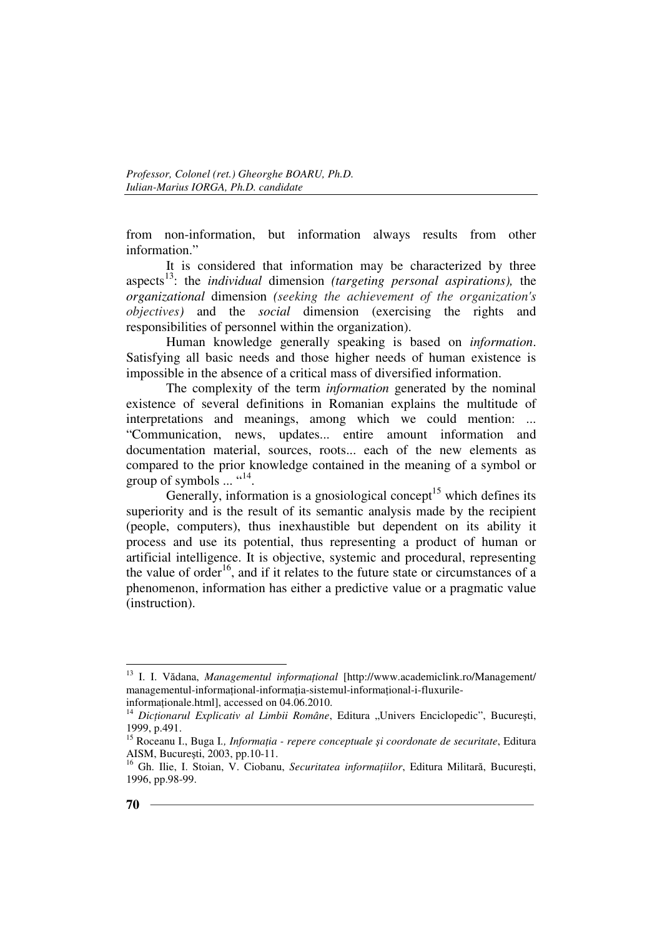from non-information, but information always results from other information."

It is considered that information may be characterized by three aspects<sup>13</sup>: the *individual* dimension *(targeting personal aspirations),* the *organizational* dimension *(seeking the achievement of the organization's objectives)* and the *social* dimension (exercising the rights and responsibilities of personnel within the organization).

Human knowledge generally speaking is based on *information*. Satisfying all basic needs and those higher needs of human existence is impossible in the absence of a critical mass of diversified information.

The complexity of the term *information* generated by the nominal existence of several definitions in Romanian explains the multitude of interpretations and meanings, among which we could mention: ... "Communication, news, updates... entire amount information and documentation material, sources, roots... each of the new elements as compared to the prior knowledge contained in the meaning of a symbol or group of symbols  $\ldots$  "<sup>14</sup>.

Generally, information is a gnosiological concept<sup>15</sup> which defines its superiority and is the result of its semantic analysis made by the recipient (people, computers), thus inexhaustible but dependent on its ability it process and use its potential, thus representing a product of human or artificial intelligence. It is objective, systemic and procedural, representing the value of order<sup>16</sup>, and if it relates to the future state or circumstances of a phenomenon, information has either a predictive value or a pragmatic value (instruction).

<sup>&</sup>lt;sup>13</sup> I. I. Vădana, *Managementul informațional* [http://www.academiclink.ro/Management/ managementul-informational-informatia-sistemul-informational-i-fluxurile-

informationale.html], accessed on 04.06.2010.

<sup>&</sup>lt;sup>14</sup> *Dictionarul Explicativ al Limbii Române*, Editura "Univers Enciclopedic", București, 1999, p.491.

<sup>&</sup>lt;sup>15</sup> Roceanu I., Buga I., *Informația - repere conceptuale și coordonate de securitate*, Editura AISM, Bucureşti, 2003, pp.10-11.

<sup>&</sup>lt;sup>16</sup> Gh. Ilie, I. Stoian, V. Ciobanu, *Securitatea informațiilor*, Editura Militară, București, 1996, pp.98-99.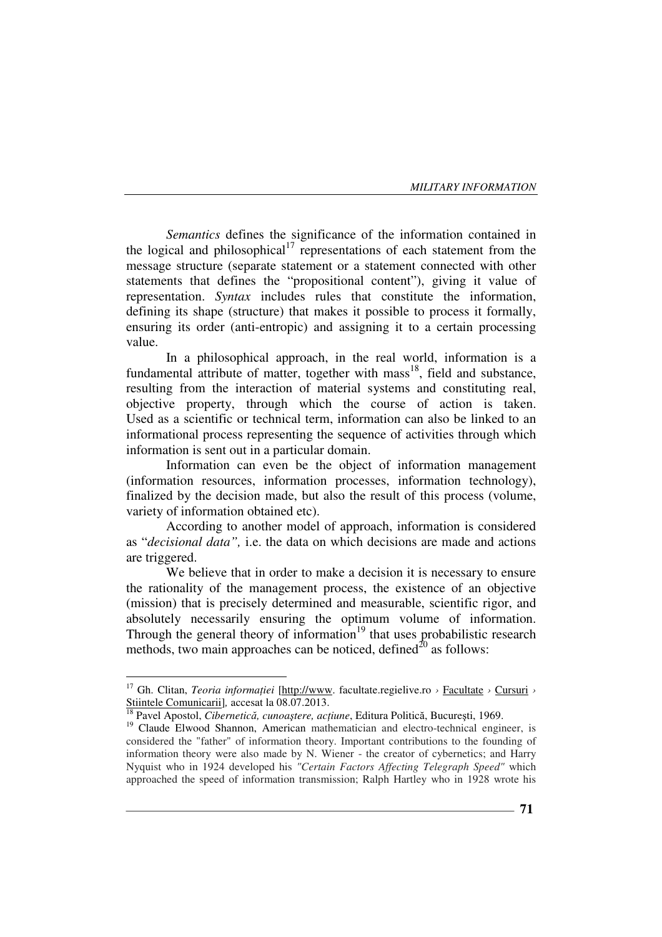*Semantics* defines the significance of the information contained in the logical and philosophical<sup>17</sup> representations of each statement from the message structure (separate statement or a statement connected with other statements that defines the "propositional content"), giving it value of representation. *Syntax* includes rules that constitute the information, defining its shape (structure) that makes it possible to process it formally, ensuring its order (anti-entropic) and assigning it to a certain processing value.

In a philosophical approach, in the real world, information is a fundamental attribute of matter, together with  $mass<sup>18</sup>$ , field and substance, resulting from the interaction of material systems and constituting real, objective property, through which the course of action is taken. Used as a scientific or technical term, information can also be linked to an informational process representing the sequence of activities through which information is sent out in a particular domain.

Information can even be the object of information management (information resources, information processes, information technology), finalized by the decision made, but also the result of this process (volume, variety of information obtained etc).

According to another model of approach, information is considered as "*decisional data",* i.e. the data on which decisions are made and actions are triggered.

We believe that in order to make a decision it is necessary to ensure the rationality of the management process, the existence of an objective (mission) that is precisely determined and measurable, scientific rigor, and absolutely necessarily ensuring the optimum volume of information. Through the general theory of information<sup>19</sup> that uses probabilistic research methods, two main approaches can be noticed, defined $^{20}$  as follows:

<sup>&</sup>lt;sup>17</sup> Gh. Clitan, *Teoria informației* [http://www. facultate.regielive.ro > Facultate > Cursuri > Stiintele Comunicarii]*,* accesat la 08.07.2013.

<sup>&</sup>lt;sup>18</sup> Pavel Apostol, *Cibernetică, cunoaștere, acțiune,* Editura Politică, București, 1969.

<sup>&</sup>lt;sup>19</sup> Claude Elwood Shannon, American mathematician and electro-technical engineer, is considered the "father" of information theory. Important contributions to the founding of information theory were also made by N. Wiener - the creator of cybernetics; and Harry Nyquist who in 1924 developed his *"Certain Factors Affecting Telegraph Speed"* which approached the speed of information transmission; Ralph Hartley who in 1928 wrote his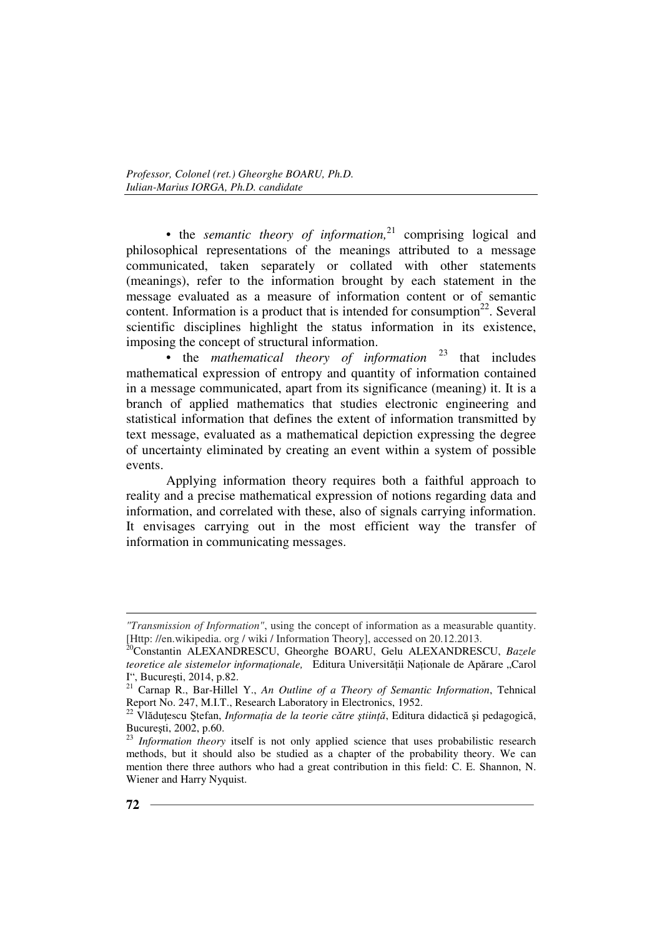• the *semantic theory of information*,<sup>21</sup> comprising logical and philosophical representations of the meanings attributed to a message communicated, taken separately or collated with other statements (meanings), refer to the information brought by each statement in the message evaluated as a measure of information content or of semantic content. Information is a product that is intended for consumption<sup>22</sup>. Several scientific disciplines highlight the status information in its existence, imposing the concept of structural information.

• the *mathematical theory of information* <sup>23</sup> that includes mathematical expression of entropy and quantity of information contained in a message communicated, apart from its significance (meaning) it. It is a branch of applied mathematics that studies electronic engineering and statistical information that defines the extent of information transmitted by text message, evaluated as a mathematical depiction expressing the degree of uncertainty eliminated by creating an event within a system of possible events.

Applying information theory requires both a faithful approach to reality and a precise mathematical expression of notions regarding data and information, and correlated with these, also of signals carrying information. It envisages carrying out in the most efficient way the transfer of information in communicating messages.

*<sup>&</sup>quot;Transmission of Information"*, using the concept of information as a measurable quantity. [Http: //en.wikipedia. org / wiki / Information Theory], accessed on 20.12.2013.

<sup>20</sup>Constantin ALEXANDRESCU, Gheorghe BOARU, Gelu ALEXANDRESCU, *Bazele teoretice ale sistemelor informaționale*, Editura Universității Naționale de Apărare "Carol I", Bucureşti, 2014, p.82.

<sup>21</sup> Carnap R., Bar-Hillel Y., *An Outline of a Theory of Semantic Information*, Tehnical Report No. 247, M.I.T., Research Laboratory in Electronics, 1952.

<sup>&</sup>lt;sup>22</sup> Vlădutescu Stefan, *Informația de la teorie către știință*, Editura didactică și pedagogică, Bucureşti, 2002, p.60.

<sup>&</sup>lt;sup>23</sup> Information theory itself is not only applied science that uses probabilistic research methods, but it should also be studied as a chapter of the probability theory. We can mention there three authors who had a great contribution in this field: C. E. Shannon, N. Wiener and Harry Nyquist.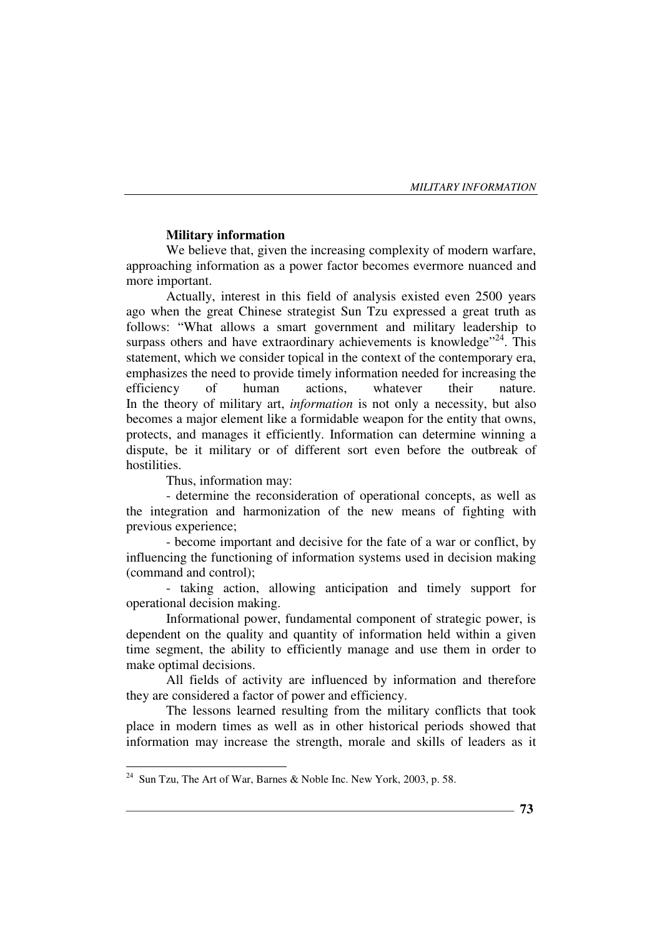#### **Military information**

We believe that, given the increasing complexity of modern warfare, approaching information as a power factor becomes evermore nuanced and more important.

Actually, interest in this field of analysis existed even 2500 years ago when the great Chinese strategist Sun Tzu expressed a great truth as follows: "What allows a smart government and military leadership to surpass others and have extraordinary achievements is knowledge<sup> $24$ </sup>. This statement, which we consider topical in the context of the contemporary era, emphasizes the need to provide timely information needed for increasing the efficiency of human actions, whatever their nature. In the theory of military art, *information* is not only a necessity, but also becomes a major element like a formidable weapon for the entity that owns, protects, and manages it efficiently. Information can determine winning a dispute, be it military or of different sort even before the outbreak of hostilities.

Thus, information may:

- determine the reconsideration of operational concepts, as well as the integration and harmonization of the new means of fighting with previous experience;

- become important and decisive for the fate of a war or conflict, by influencing the functioning of information systems used in decision making (command and control);

- taking action, allowing anticipation and timely support for operational decision making.

Informational power, fundamental component of strategic power, is dependent on the quality and quantity of information held within a given time segment, the ability to efficiently manage and use them in order to make optimal decisions.

All fields of activity are influenced by information and therefore they are considered a factor of power and efficiency.

The lessons learned resulting from the military conflicts that took place in modern times as well as in other historical periods showed that information may increase the strength, morale and skills of leaders as it

 $24\,$ Sun Tzu, The Art of War, Barnes & Noble Inc. New York, 2003, p. 58.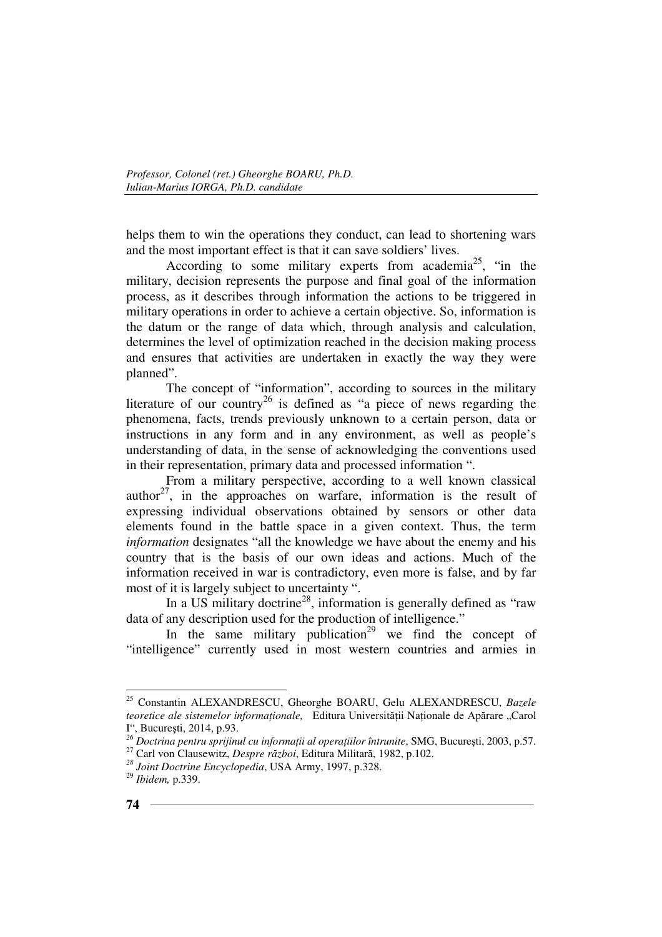helps them to win the operations they conduct, can lead to shortening wars and the most important effect is that it can save soldiers' lives.

According to some military experts from academia<sup>25</sup>, "in the military, decision represents the purpose and final goal of the information process, as it describes through information the actions to be triggered in military operations in order to achieve a certain objective. So, information is the datum or the range of data which, through analysis and calculation, determines the level of optimization reached in the decision making process and ensures that activities are undertaken in exactly the way they were planned".

The concept of "information", according to sources in the military literature of our country<sup>26</sup> is defined as "a piece of news regarding the phenomena, facts, trends previously unknown to a certain person, data or instructions in any form and in any environment, as well as people's understanding of data, in the sense of acknowledging the conventions used in their representation, primary data and processed information ".

From a military perspective, according to a well known classical author<sup>27</sup>, in the approaches on warfare, information is the result of expressing individual observations obtained by sensors or other data elements found in the battle space in a given context. Thus, the term *information* designates "all the knowledge we have about the enemy and his country that is the basis of our own ideas and actions. Much of the information received in war is contradictory, even more is false, and by far most of it is largely subject to uncertainty ".

In a US military doctrine<sup>28</sup>, information is generally defined as "raw" data of any description used for the production of intelligence."

In the same military publication<sup>29</sup> we find the concept of "intelligence" currently used in most western countries and armies in

 $\overline{a}$ <sup>25</sup> Constantin ALEXANDRESCU, Gheorghe BOARU, Gelu ALEXANDRESCU, *Bazele teoretice ale sistemelor informationale,* Editura Universității Naționale de Apărare "Carol I", Bucureşti, 2014, p.93.

<sup>&</sup>lt;sup>26</sup> Doctrina pentru sprijinul cu informații al operațiilor întrunite, SMG, București, 2003, p.57.

<sup>27</sup> Carl von Clausewitz, *Despre război*, Editura Militară, 1982, p.102.

*<sup>28</sup> Joint Doctrine Encyclopedia*, USA Army, 1997, p.328.

<sup>29</sup> *Ibidem,* p.339.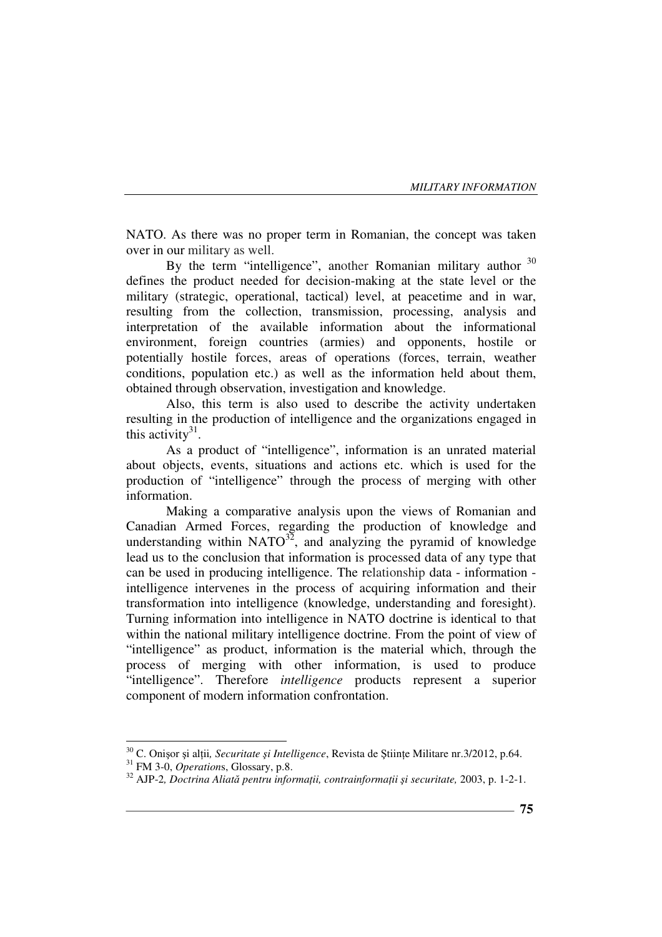NATO. As there was no proper term in Romanian, the concept was taken over in our military as well.

By the term "intelligence", another Romanian military author  $30$ defines the product needed for decision-making at the state level or the military (strategic, operational, tactical) level, at peacetime and in war, resulting from the collection, transmission, processing, analysis and interpretation of the available information about the informational environment, foreign countries (armies) and opponents, hostile or potentially hostile forces, areas of operations (forces, terrain, weather conditions, population etc.) as well as the information held about them, obtained through observation, investigation and knowledge.

Also, this term is also used to describe the activity undertaken resulting in the production of intelligence and the organizations engaged in this activity<sup>31</sup>.

As a product of "intelligence", information is an unrated material about objects, events, situations and actions etc. which is used for the production of "intelligence" through the process of merging with other information.

Making a comparative analysis upon the views of Romanian and Canadian Armed Forces, regarding the production of knowledge and understanding within  $NATO^{32}$ , and analyzing the pyramid of knowledge lead us to the conclusion that information is processed data of any type that can be used in producing intelligence. The relationship data - information intelligence intervenes in the process of acquiring information and their transformation into intelligence (knowledge, understanding and foresight). Turning information into intelligence in NATO doctrine is identical to that within the national military intelligence doctrine. From the point of view of "intelligence" as product, information is the material which, through the process of merging with other information, is used to produce "intelligence". Therefore *intelligence* products represent a superior component of modern information confrontation.

<sup>&</sup>lt;sup>30</sup> C. Onișor și alții, Securitate și Intelligence, Revista de Științe Militare nr.3/2012, p.64.

<sup>31</sup> FM 3-0, *Operation*s, Glossary, p.8.

<sup>&</sup>lt;sup>32</sup> AJP-2, Doctrina Aliată pentru informații, contrainformații și securitate, 2003, p. 1-2-1.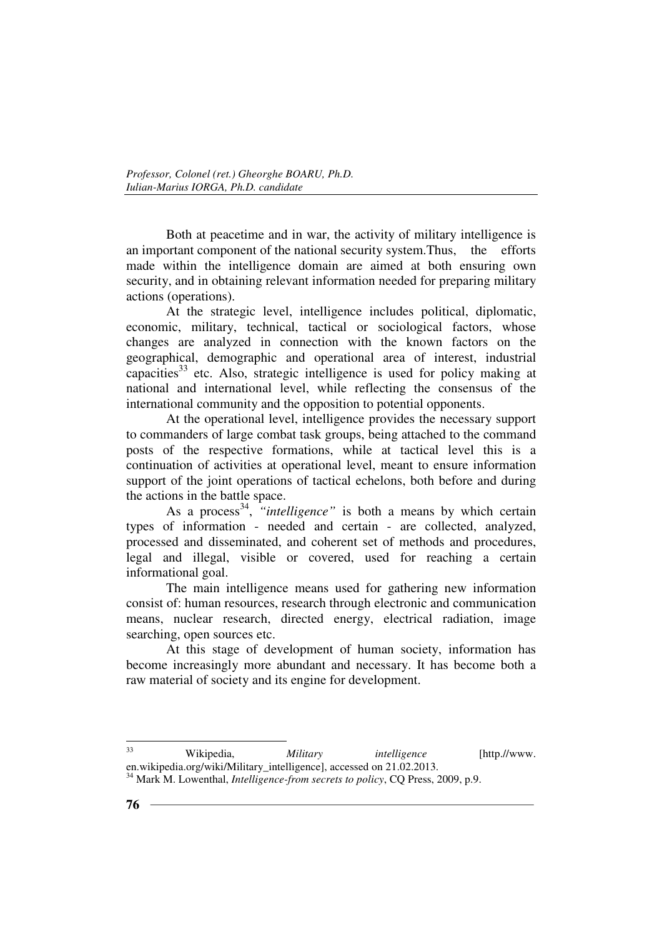Both at peacetime and in war, the activity of military intelligence is an important component of the national security system.Thus, the efforts made within the intelligence domain are aimed at both ensuring own security, and in obtaining relevant information needed for preparing military actions (operations).

At the strategic level, intelligence includes political, diplomatic, economic, military, technical, tactical or sociological factors, whose changes are analyzed in connection with the known factors on the geographical, demographic and operational area of interest, industrial capacities $33$  etc. Also, strategic intelligence is used for policy making at national and international level, while reflecting the consensus of the international community and the opposition to potential opponents.

At the operational level, intelligence provides the necessary support to commanders of large combat task groups, being attached to the command posts of the respective formations, while at tactical level this is a continuation of activities at operational level, meant to ensure information support of the joint operations of tactical echelons, both before and during the actions in the battle space.

As a process<sup>34</sup>, *"intelligence"* is both a means by which certain types of information - needed and certain - are collected, analyzed, processed and disseminated, and coherent set of methods and procedures, legal and illegal, visible or covered, used for reaching a certain informational goal.

The main intelligence means used for gathering new information consist of: human resources, research through electronic and communication means, nuclear research, directed energy, electrical radiation, image searching, open sources etc.

At this stage of development of human society, information has become increasingly more abundant and necessary. It has become both a raw material of society and its engine for development.

<sup>33</sup> Wikipedia, *Military intelligence* [http.//www. en.wikipedia.org/wiki/Military\_intelligence], accessed on 21.02.2013.

<sup>34</sup> Mark M. Lowenthal, *Intelligence-from secrets to policy*, CQ Press, 2009, p.9.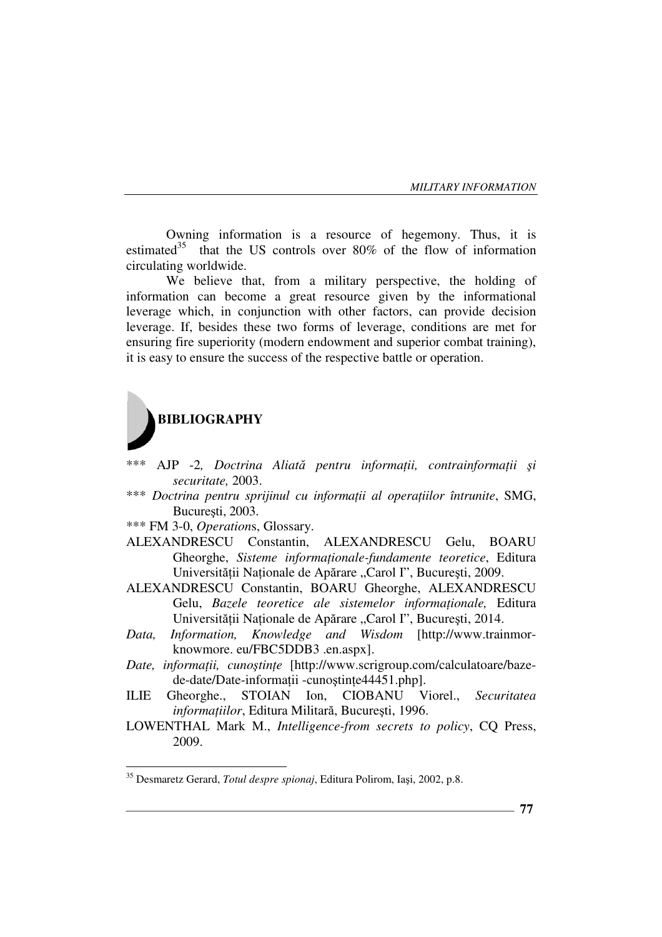Owning information is a resource of hegemony. Thus, it is estimated<sup>35</sup> that the US controls over 80% of the flow of information circulating worldwide.

We believe that, from a military perspective, the holding of information can become a great resource given by the informational leverage which, in conjunction with other factors, can provide decision leverage. If, besides these two forms of leverage, conditions are met for ensuring fire superiority (modern endowment and superior combat training), it is easy to ensure the success of the respective battle or operation.



- $\Delta$ JP -2, Doctrina Aliată pentru informații, contrainformații și *securitate,* 2003.
- \*\*\* *Doctrina pentru sprijinul cu informații al operațiilor întrunite, SMG,* Bucureşti, 2003.
- \*\*\* FM 3-0, *Operation*s, Glossary.
- ALEXANDRESCU Constantin, ALEXANDRESCU Gelu, BOARU Gheorghe, Sisteme informaționale-fundamente teoretice, Editura Universității Naționale de Apărare "Carol I", București, 2009.
- ALEXANDRESCU Constantin, BOARU Gheorghe, ALEXANDRESCU Gelu, *Bazele teoretice ale sistemelor informationale*, Editura Universității Naționale de Apărare "Carol I", București, 2014.
- *Data, Information, Knowledge and Wisdom* [http://www.trainmorknowmore. eu/FBC5DDB3 .en.aspx].
- *Date, informatii, cunostinte* [http://www.scrigroup.com/calculatoare/bazede-date/Date-informatii -cunostinte44451.php].
- ILIE Gheorghe., STOIAN Ion, CIOBANU Viorel., *Securitatea*   $information$ , Editura Militară, București, 1996.
- LOWENTHAL Mark M., *Intelligence-from secrets to policy*, CQ Press, 2009.

<sup>35</sup> Desmaretz Gerard, *Totul despre spionaj*, Editura Polirom, Iaşi, 2002, p.8.